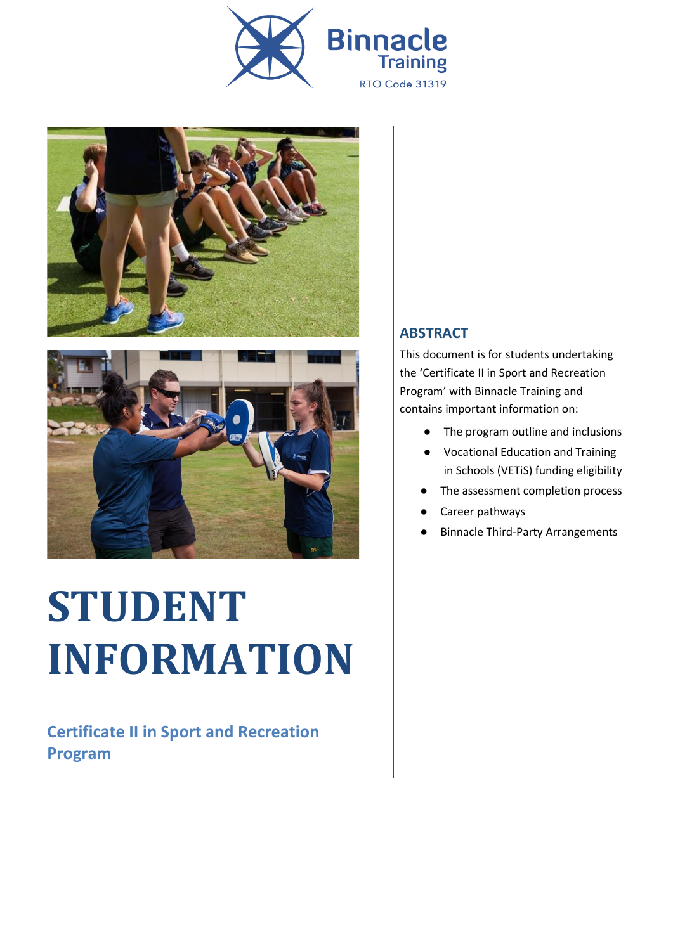





# **STUDENT INFORMATION**

**Certificate II in Sport and Recreation Program**

#### **ABSTRACT**

This document is for students undertaking the 'Certificate II in Sport and Recreation Program' with Binnacle Training and contains important information on:

- The program outline and inclusions
- Vocational Education and Training in Schools (VETiS) funding eligibility
- The assessment completion process
- Career pathways
- **Binnacle Third-Party Arrangements**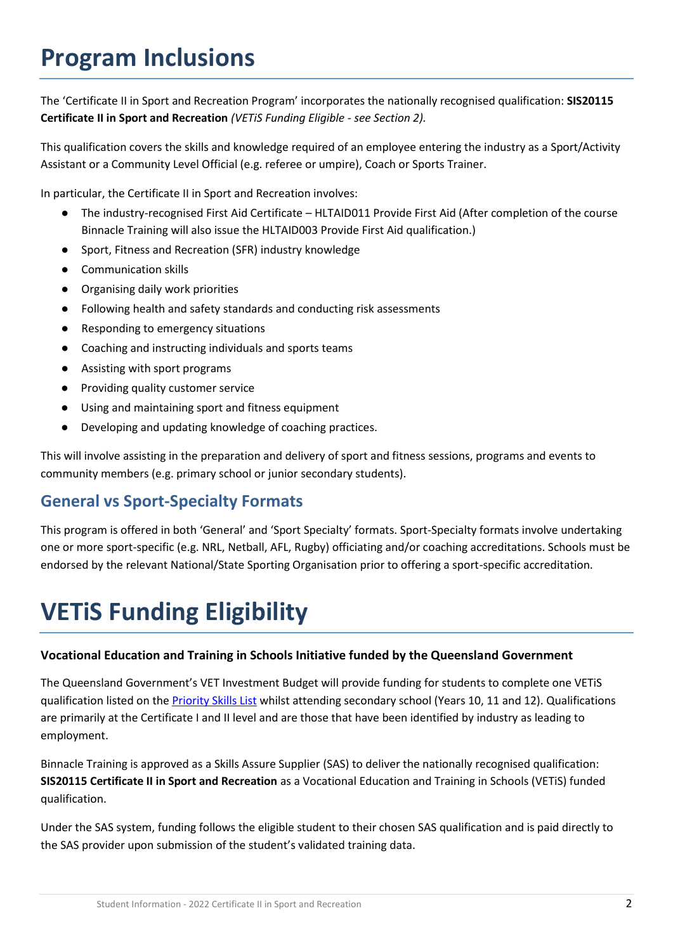### **Program Inclusions**

The 'Certificate II in Sport and Recreation Program' incorporates the nationally recognised qualification: **SIS20115 Certificate II in Sport and Recreation** *(VETiS Funding Eligible - see Section 2).*

This qualification covers the skills and knowledge required of an employee entering the industry as a Sport/Activity Assistant or a Community Level Official (e.g. referee or umpire), Coach or Sports Trainer.

In particular, the Certificate II in Sport and Recreation involves:

- The industry-recognised First Aid Certificate HLTAID011 Provide First Aid (After completion of the course Binnacle Training will also issue the HLTAID003 Provide First Aid qualification.)
- Sport, Fitness and Recreation (SFR) industry knowledge
- Communication skills
- Organising daily work priorities
- Following health and safety standards and conducting risk assessments
- Responding to emergency situations
- Coaching and instructing individuals and sports teams
- Assisting with sport programs
- Providing quality customer service
- Using and maintaining sport and fitness equipment
- Developing and updating knowledge of coaching practices.

This will involve assisting in the preparation and delivery of sport and fitness sessions, programs and events to community members (e.g. primary school or junior secondary students).

### **General vs Sport-Specialty Formats**

This program is offered in both 'General' and 'Sport Specialty' formats. Sport-Specialty formats involve undertaking one or more sport-specific (e.g. NRL, Netball, AFL, Rugby) officiating and/or coaching accreditations. Schools must be endorsed by the relevant National/State Sporting Organisation prior to offering a sport-specific accreditation.

# **VETiS Funding Eligibility**

#### **Vocational Education and Training in Schools Initiative funded by the Queensland Government**

The Queensland Government's VET Investment Budget will provide funding for students to complete one VETiS qualification listed on the [Priority Skills List](https://desbt.qld.gov.au/training/docs-data/strategies/vetinvest/subsidieslist) whilst attending secondary school (Years 10, 11 and 12). Qualifications are primarily at the Certificate I and II level and are those that have been identified by industry as leading to employment.

Binnacle Training is approved as a Skills Assure Supplier (SAS) to deliver the nationally recognised qualification: **SIS20115 Certificate II in Sport and Recreation** as a Vocational Education and Training in Schools (VETiS) funded qualification.

Under the SAS system, funding follows the eligible student to their chosen SAS qualification and is paid directly to the SAS provider upon submission of the student's validated training data.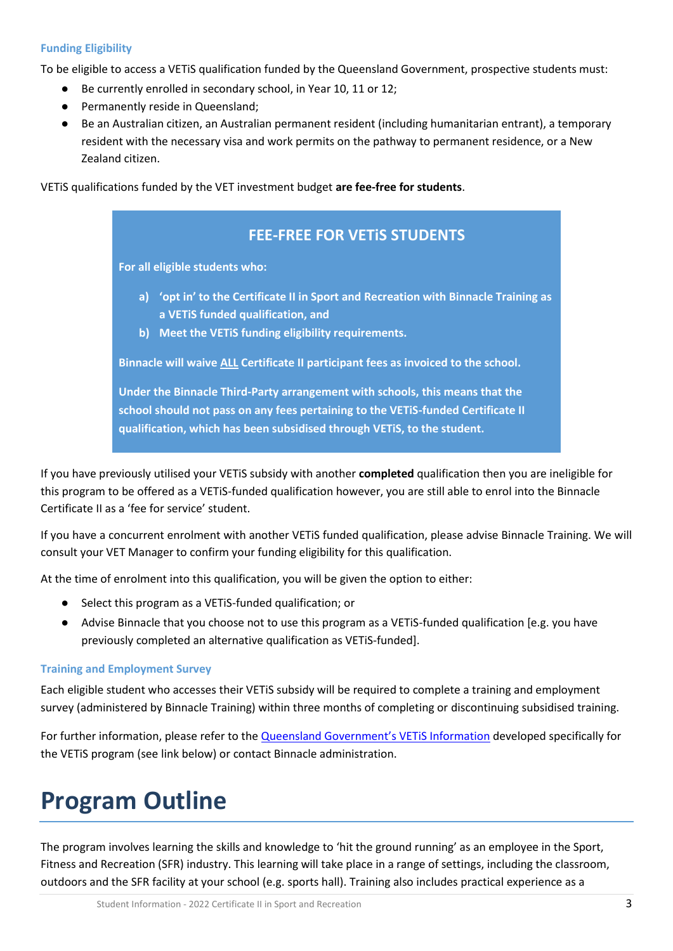#### **Funding Eligibility**

To be eligible to access a VETiS qualification funded by the Queensland Government, prospective students must:

- Be currently enrolled in secondary school, in Year 10, 11 or 12;
- Permanently reside in Queensland;
- Be an Australian citizen, an Australian permanent resident (including humanitarian entrant), a temporary resident with the necessary visa and work permits on the pathway to permanent residence, or a New Zealand citizen.

VETiS qualifications funded by the VET investment budget **are fee-free for students**.



If you have previously utilised your VETiS subsidy with another **completed** qualification then you are ineligible for this program to be offered as a VETiS-funded qualification however, you are still able to enrol into the Binnacle Certificate II as a 'fee for service' student.

If you have a concurrent enrolment with another VETiS funded qualification, please advise Binnacle Training. We will consult your VET Manager to confirm your funding eligibility for this qualification.

At the time of enrolment into this qualification, you will be given the option to either:

- Select this program as a VETiS-funded qualification; or
- Advise Binnacle that you choose not to use this program as a VETiS-funded qualification [e.g. you have previously completed an alternative qualification as VETiS-funded].

#### **Training and Employment Survey**

Each eligible student who accesses their VETiS subsidy will be required to complete a training and employment survey (administered by Binnacle Training) within three months of completing or discontinuing subsidised training.

For further information, please refer to the **Queensland Government's VETIS Information** developed specifically for the VETiS program (see link below) or contact Binnacle administration.

### **Program Outline**

The program involves learning the skills and knowledge to 'hit the ground running' as an employee in the Sport, Fitness and Recreation (SFR) industry. This learning will take place in a range of settings, including the classroom, outdoors and the SFR facility at your school (e.g. sports hall). Training also includes practical experience as a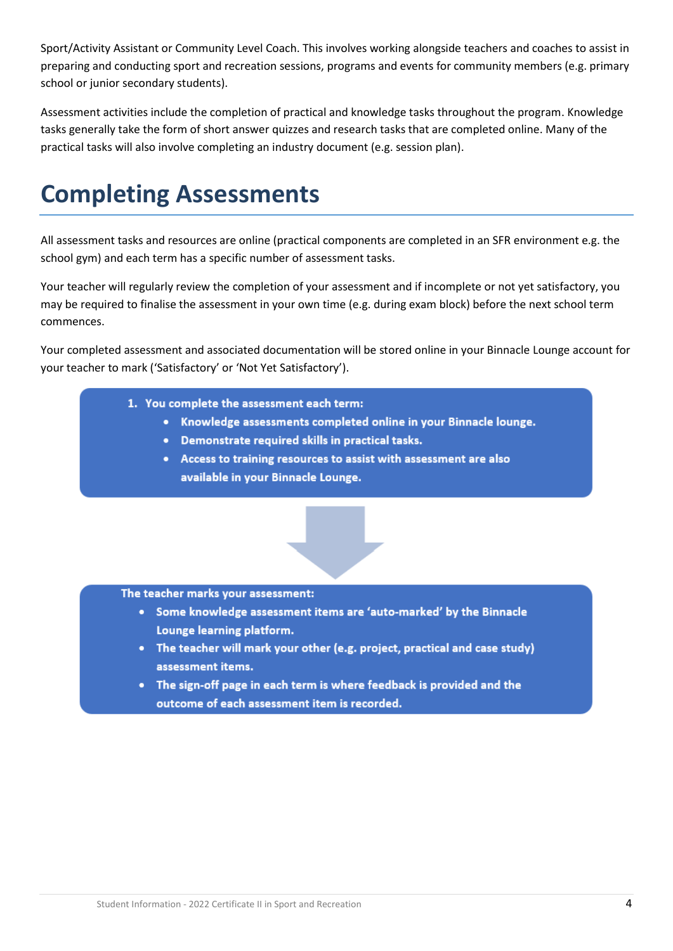Sport/Activity Assistant or Community Level Coach. This involves working alongside teachers and coaches to assist in preparing and conducting sport and recreation sessions, programs and events for community members (e.g. primary school or junior secondary students).

Assessment activities include the completion of practical and knowledge tasks throughout the program. Knowledge tasks generally take the form of short answer quizzes and research tasks that are completed online. Many of the practical tasks will also involve completing an industry document (e.g. session plan).

# **Completing Assessments**

All assessment tasks and resources are online (practical components are completed in an SFR environment e.g. the school gym) and each term has a specific number of assessment tasks.

Your teacher will regularly review the completion of your assessment and if incomplete or not yet satisfactory, you may be required to finalise the assessment in your own time (e.g. during exam block) before the next school term commences.

Your completed assessment and associated documentation will be stored online in your Binnacle Lounge account for your teacher to mark ('Satisfactory' or 'Not Yet Satisfactory').

- 1. You complete the assessment each term:
	- Knowledge assessments completed online in your Binnacle lounge.
	- Demonstrate required skills in practical tasks.
	- Access to training resources to assist with assessment are also available in your Binnacle Lounge.



The teacher marks your assessment:

- Some knowledge assessment items are 'auto-marked' by the Binnacle Lounge learning platform.
- The teacher will mark your other (e.g. project, practical and case study) assessment items.
- The sign-off page in each term is where feedback is provided and the outcome of each assessment item is recorded.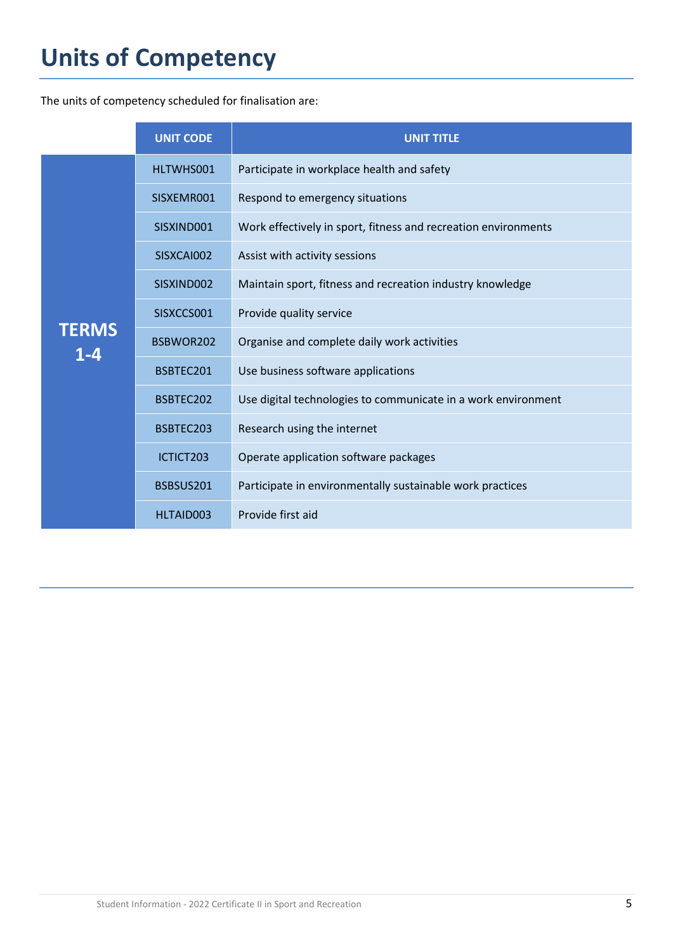# **Units of Competency**

The units of competency scheduled for finalisation are:

|                         | <b>UNIT CODE</b> | UNIT TITLE                                                     |
|-------------------------|------------------|----------------------------------------------------------------|
| <b>TERMS</b><br>$1 - 4$ | HLTWHS001        | Participate in workplace health and safety                     |
|                         | SISXEMR001       | Respond to emergency situations                                |
|                         | SISXIND001       | Work effectively in sport, fitness and recreation environments |
|                         | SISXCAI002       | Assist with activity sessions                                  |
|                         | SISXIND002       | Maintain sport, fitness and recreation industry knowledge      |
|                         | SISXCCS001       | Provide quality service                                        |
|                         | BSBWOR202        | Organise and complete daily work activities                    |
|                         | BSBTEC201        | Use business software applications                             |
|                         | BSBTEC202        | Use digital technologies to communicate in a work environment  |
|                         | BSBTEC203        | Research using the internet                                    |
|                         | ICTICT203        | Operate application software packages                          |
|                         | BSBSUS201        | Participate in environmentally sustainable work practices      |
|                         | HLTAID003        | Provide first aid                                              |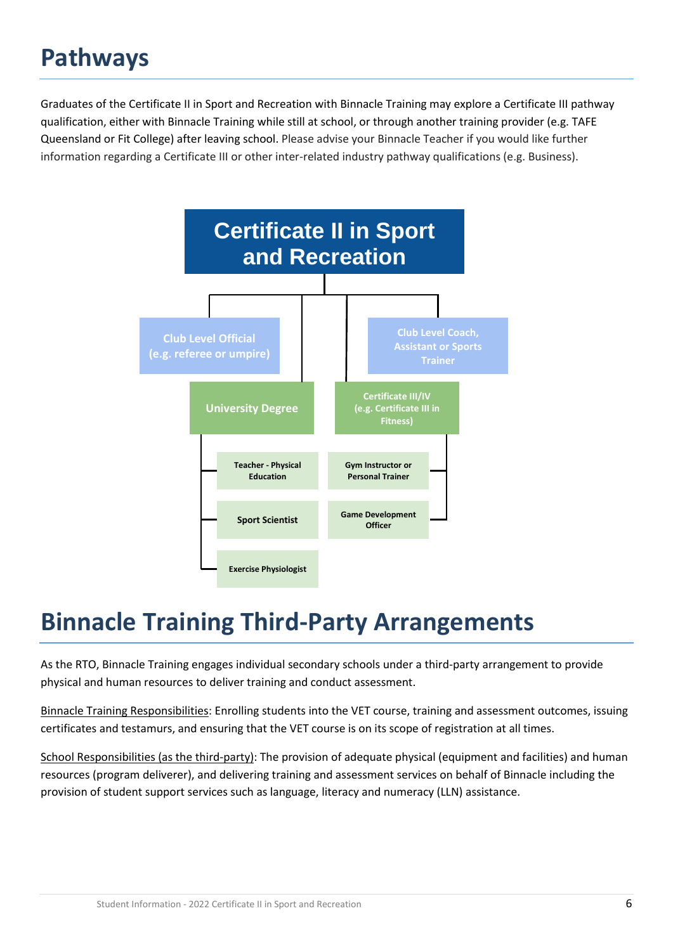# **Pathways**

Graduates of the Certificate II in Sport and Recreation with Binnacle Training may explore a Certificate III pathway qualification, either with Binnacle Training while still at school, or through another training provider (e.g. TAFE Queensland or Fit College) after leaving school. Please advise your Binnacle Teacher if you would like further information regarding a Certificate III or other inter-related industry pathway qualifications (e.g. Business).



### **Binnacle Training Third-Party Arrangements**

As the RTO, Binnacle Training engages individual secondary schools under a third-party arrangement to provide physical and human resources to deliver training and conduct assessment.

Binnacle Training Responsibilities: Enrolling students into the VET course, training and assessment outcomes, issuing certificates and testamurs, and ensuring that the VET course is on its scope of registration at all times.

School Responsibilities (as the third-party): The provision of adequate physical (equipment and facilities) and human resources (program deliverer), and delivering training and assessment services on behalf of Binnacle including the provision of student support services such as language, literacy and numeracy (LLN) assistance.